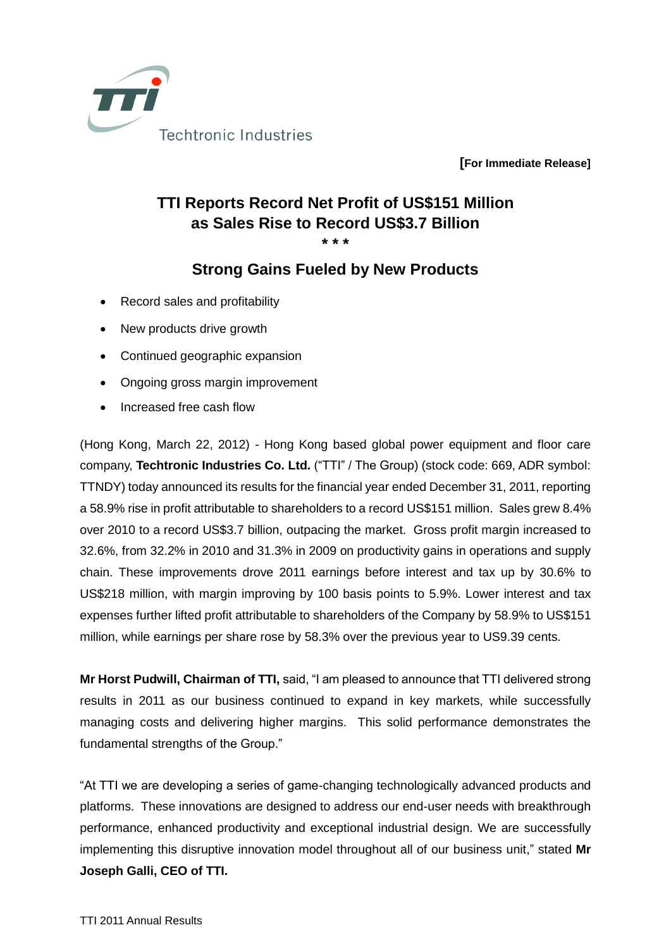

**[For Immediate Release]**

## **TTI Reports Record Net Profit of US\$151 Million as Sales Rise to Record US\$3.7 Billion**

**\* \* \***

## **Strong Gains Fueled by New Products**

- Record sales and profitability
- New products drive growth
- Continued geographic expansion
- Ongoing gross margin improvement
- Increased free cash flow

(Hong Kong, March 22, 2012) - Hong Kong based global power equipment and floor care company, **Techtronic Industries Co. Ltd.** ("TTI" / The Group) (stock code: 669, ADR symbol: TTNDY) today announced its results for the financial year ended December 31, 2011, reporting a 58.9% rise in profit attributable to shareholders to a record US\$151 million. Sales grew 8.4% over 2010 to a record US\$3.7 billion, outpacing the market. Gross profit margin increased to 32.6%, from 32.2% in 2010 and 31.3% in 2009 on productivity gains in operations and supply chain. These improvements drove 2011 earnings before interest and tax up by 30.6% to US\$218 million, with margin improving by 100 basis points to 5.9%. Lower interest and tax expenses further lifted profit attributable to shareholders of the Company by 58.9% to US\$151 million, while earnings per share rose by 58.3% over the previous year to US9.39 cents.

**Mr Horst Pudwill, Chairman of TTI,** said, "I am pleased to announce that TTI delivered strong results in 2011 as our business continued to expand in key markets, while successfully managing costs and delivering higher margins. This solid performance demonstrates the fundamental strengths of the Group."

"At TTI we are developing a series of game-changing technologically advanced products and platforms. These innovations are designed to address our end-user needs with breakthrough performance, enhanced productivity and exceptional industrial design. We are successfully implementing this disruptive innovation model throughout all of our business unit," stated **Mr Joseph Galli, CEO of TTI.**